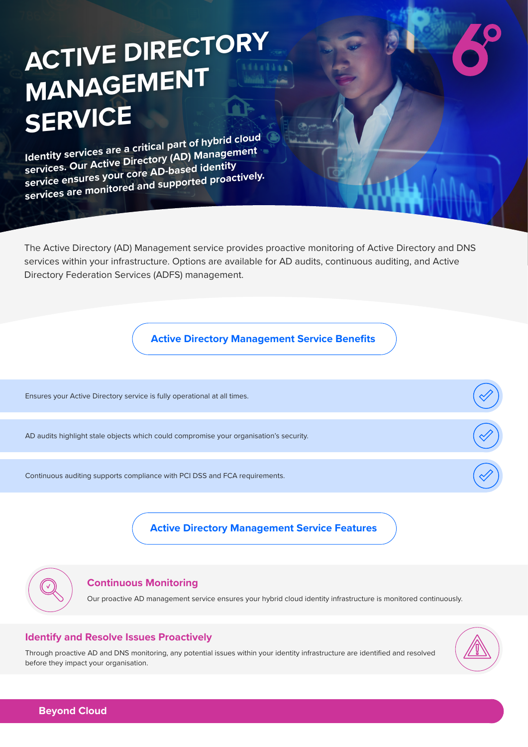# **ACTIVE DIRECTORY MANAGEMENT SERVICE**

**Identity services are a critical part of hybrid cloud services. Our Active Directory (AD) Management service ensures your core AD-based identity services are monitored and supported proactively.**

The Active Directory (AD) Management service provides proactive monitoring of Active Directory and DNS services within your infrastructure. Options are available for AD audits, continuous auditing, and Active Directory Federation Services (ADFS) management.

**Active Directory Management Service Benefits**

Ensures your Active Directory service is fully operational at all times.

AD audits highlight stale objects which could compromise your organisation's security.

Continuous auditing supports compliance with PCI DSS and FCA requirements.

**Active Directory Management Service Features**

#### **Continuous Monitoring**

Our proactive AD management service ensures your hybrid cloud identity infrastructure is monitored continuously.

#### **Identify and Resolve Issues Proactively**

Through proactive AD and DNS monitoring, any potential issues within your identity infrastructure are identified and resolved before they impact your organisation.



**Beyond Cloud**